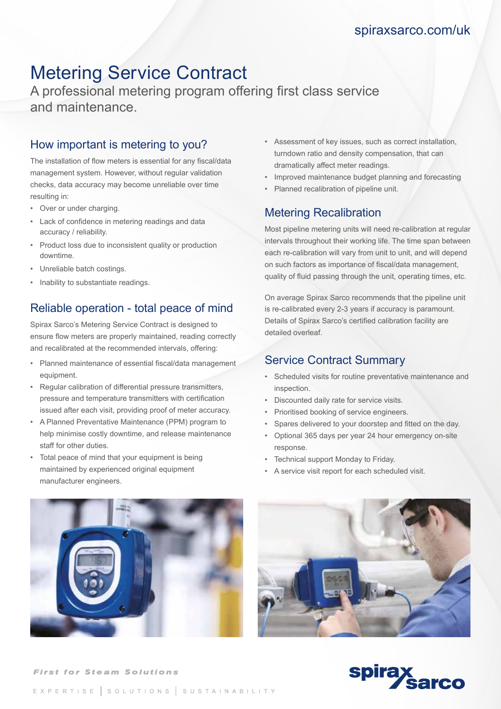# Metering Service Contract

A professional metering program offering first class service and maintenance.

### How important is metering to you?

The installation of flow meters is essential for any fiscal/data management system. However, without regular validation checks, data accuracy may become unreliable over time resulting in:

- Over or under charging.
- Lack of confidence in metering readings and data accuracy / reliability.
- Product loss due to inconsistent quality or production downtime.
- Unreliable batch costings.
- Inability to substantiate readings.

### Reliable operation - total peace of mind

Spirax Sarco's Metering Service Contract is designed to ensure flow meters are properly maintained, reading correctly and recalibrated at the recommended intervals, offering:

- Planned maintenance of essential fiscal/data management equipment.
- Regular calibration of differential pressure transmitters, pressure and temperature transmitters with certification issued after each visit, providing proof of meter accuracy.
- A Planned Preventative Maintenance (PPM) program to help minimise costly downtime, and release maintenance staff for other duties.
- Total peace of mind that your equipment is being maintained by experienced original equipment manufacturer engineers.
- Assessment of key issues, such as correct installation, turndown ratio and density compensation, that can dramatically affect meter readings.
- Improved maintenance budget planning and forecasting
- Planned recalibration of pipeline unit.

#### Metering Recalibration

Most pipeline metering units will need re-calibration at regular intervals throughout their working life. The time span between each re-calibration will vary from unit to unit, and will depend on such factors as importance of fiscal/data management, quality of fluid passing through the unit, operating times, etc.

On average Spirax Sarco recommends that the pipeline unit is re-calibrated every 2-3 years if accuracy is paramount. Details of Spirax Sarco's certified calibration facility are detailed overleaf.

#### Service Contract Summary

- Scheduled visits for routine preventative maintenance and inspection.
- Discounted daily rate for service visits.
- Prioritised booking of service engineers.
- Spares delivered to your doorstep and fitted on the day.
- Optional 365 days per year 24 hour emergency on-site response.
- Technical support Monday to Friday.
- A service visit report for each scheduled visit.







#### EXPERTISE SOLUTIONS SUSTAINABILITY

**First for Steam Solutions**